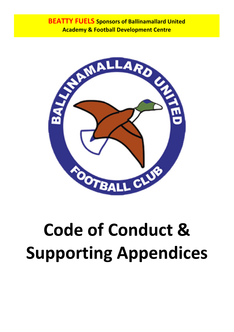

# **Code of Conduct & Supporting Appendices**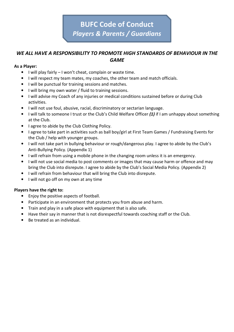# **BUFC Code of Conduct** *Players & Parents / Guardians*

#### *WE ALL HAVE A RESPONSIBILITY TO PROMOTE HIGH STANDARDS OF BEHAVIOUR IN THE GAME*

#### **As a Player:**

- I will play fairly I won't cheat, complain or waste time.
- I will respect my team mates, my coaches, the other team and match officials.
- I will be punctual for training sessions and matches.
- I will bring my own water / fluid to training sessions.
- I will advise my Coach of any injuries or medical conditions sustained before or during Club activities.
- I will not use foul, abusive, racial, discriminatory or sectarian language.
- I will talk to someone I trust or the Club's Child Welfare Officer *(1)* if I am unhappy about something at the Club.
- I agree to abide by the Club Clothing Policy.
- I agree to take part in activities such as ball boy/girl at First Team Games / Fundraising Events for the Club / help with younger groups.
- I will not take part in bullying behaviour or rough/dangerous play. I agree to abide by the Club's Anti-Bullying Policy. (Appendix 1)
- I will refrain from using a mobile phone in the changing room unless it is an emergency.
- I will not use social media to post comments or images that may cause harm or offence and may bring the Club into disrepute. I agree to abide by the Club's Social Media Policy. (Appendix 2)
- I will refrain from behaviour that will bring the Club into disrepute.
- I will not go off on my own at any time

#### **Players have the right to:**

- Enjoy the positive aspects of football.
- Participate in an environment that protects you from abuse and harm.
- Train and play in a safe place with equipment that is also safe.
- Have their say in manner that is not disrespectful towards coaching staff or the Club.
- Be treated as an individual.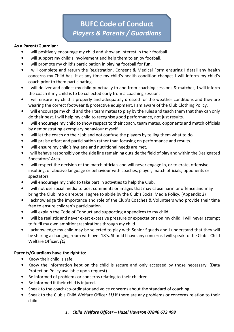# **BUFC Code of Conduct** *Players & Parents / Guardians*

#### **As a Parent/Guardian:**

- I will positively encourage my child and show an interest in their football
- I will support my child's involvement and help them to enjoy football.
- I will promote my child's participation in playing football for **fun**.
- I will complete and return the Registration, Consent & Medical Form ensuring I detail any health concerns my Child has. If at any time my child's health condition changes I will inform my child's coach prior to them participating.
- I will deliver and collect my child punctually to and from coaching sessions & matches, I will inform the coach if my child is to be collected early from a coaching session.
- I will ensure my child is properly and adequately dressed for the weather conditions and they are wearing the correct footwear & protective equipment. I am aware of the Club Clothing Policy.
- I will encourage my child and their team mates to play by the rules and teach them that they can only do their best. I will help my child to recognise good performance, not just results.
- I will encourage my child to show respect to their coach, team mates, opponents and match officials by demonstrating exemplary behaviour myself.
- I will let the coach do their job and not confuse the players by telling them what to do.
- I will praise effort and participation rather than focusing on performance and results.
- I will ensure my child's hygiene and nutritional needs are met.
- I will behave responsibly on the side line remaining outside the field of play and within the Designated Spectators' Area.
- I will respect the decision of the match officials and will never engage in, or tolerate, offensive, insulting, or abusive language or behaviour with coaches, player, match officials, opponents or spectators.
- I will encourage my child to take part in activities to help the Club.
- I will not use social media to post comments or images that may cause harm or offence and may bring the Club into disrepute. I agree to abide by the Club's Social Media Policy. (Appendix 2)
- I acknowledge the importance and role of the Club's Coaches & Volunteers who provide their time free to ensure children's participation.
- I will explain the Code of Conduct and supporting Appendices to my child.
- I will be realistic and never exert excessive pressure or expectations on my child. I will never attempt to fulfil my own ambitions/aspirations through my child.
- I acknowledge my child may be selected to play with Senior Squads and I understand that they will be sharing a changing room with over 18's. Should I have any concerns I will speak to the Club's Child Welfare Officer. *(1)*

#### **Parents/Guardians have the right to:**

- Know their child is safe.
- Know the information kept on the child is secure and only accessed by those necessary. (Data Protection Policy available upon request)
- Be informed of problems or concerns relating to their children.
- Be informed if their child is injured.
- Speak to the coach/co-ordinator and voice concerns about the standard of coaching.
- Speak to the Club's Child Welfare Officer *(1)* if there are any problems or concerns relation to their child.

#### *1. Child Welfare Officer – Hazel Haveron 07840 673 498*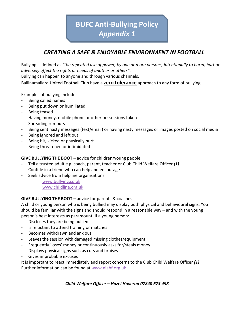**BUFC Anti-Bullying Policy** *Appendix 1* 

## *CREATING A SAFE & ENJOYABLE ENVIRONMENT IN FOOTBALL*

Bullying is defined as *"the repeated use of power, by one or more persons, intentionally to harm, hurt or adversely affect the rights or needs of another or others".* 

Bullying can happen to anyone and through various channels.

Ballinamallard United Football Club have a **zero tolerance** approach to any form of bullying.

Examples of bullying include:

- Being called names
- Being put down or humiliated
- Being teased
- Having money, mobile phone or other possessions taken
- Spreading rumours
- Being sent nasty messages (text/email) or having nasty messages or images posted on social media
- Being ignored and left out
- Being hit, kicked or physically hurt
- Being threatened or intimidated

#### **GIVE BULLYING THE BOOT –** advice for children/young people

- Tell a trusted adult e.g. coach, parent, teacher or Club Child Welfare Officer *(1)*
- Confide in a friend who can help and encourage
- Seek advice from helpline organisations:

www.bullying.co.uk www.childline.org.uk

#### **GIVE BULLYING THE BOOT –** advice for parents & coaches

A child or young person who is being bullied may display both physical and behavioural signs. You should be familiar with the signs and should respond in a reasonable way – and with the young person's best interests as paramount. If a young person:

- Discloses they are being bullied
- Is reluctant to attend training or matches
- Becomes withdrawn and anxious
- Leaves the session with damaged missing clothes/equipment
- Frequently 'loses' money or continuously asks for/steals money
- Displays physical signs such as cuts and bruises
- Gives improbable excuses

It is important to react immediately and report concerns to the Club Child Welfare Officer *(1)*  Further information can be found at www.niabf.org.uk

*Child Welfare Officer – Hazel Haveron 07840 673 498*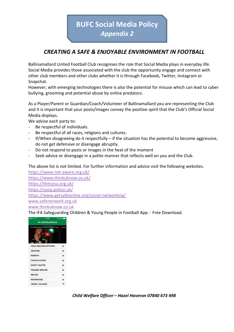**BUFC Social Media Policy**  *Appendix 2*

## *CREATING A SAFE & ENJOYABLE ENVIRONMENT IN FOOTBALL*

Ballinamallard United Football Club recognises the role that Social Media plays in everyday life. Social Media provides those associated with the club the opportunity engage and connect with other club members and other clubs whether it is through Facebook, Twitter, Instagram or Snapchat.

However, with emerging technologies there is also the potential for misuse which can lead to cyber bullying, grooming and potential abuse by online predators.

As a Player/Parent or Guardian/Coach/Volunteer of Ballinamallard you are representing the Club and it is important that your posts/images convey the positive spirit that the Club's Official Social Media displays.

We advise each party to:

- Be respectful of individuals.
- Be respectful of all races, religions and cultures.
- If/When disagreeing do it respectfully  $-$  if the situation has the potential to become aggressive, do not get defensive or disengage abruptly.
- Do not respond to posts or images in the heat of the moment
- Seek advice or disengage in a polite manner that reflects well on you and the Club.

The above list is not limited. For further information and advice visit the following websites.

https://www.net-aware.org.uk/ https://www.thinkuknow.co.uk/ https://thecpsu.org.uk/ https://ceop.police.uk/ https://www.getsafeonline.org/social-networking/ www.safenetwork.org.uk www.thinkuknow.co.uk

The IFA Safeguarding Children & Young People in Football App. - Free Download.



*Child Welfare Officer – Hazel Haveron 07840 673 498*